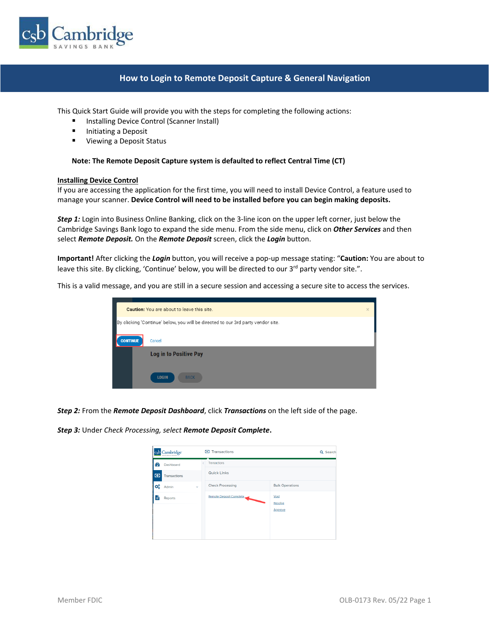

## **How to Login to Remote Deposit Capture & General Navigation**

This Quick Start Guide will provide you with the steps for completing the following actions:

- Installing Device Control (Scanner Install)
- Initiating a Deposit
- Viewing a Deposit Status

#### **Note: The Remote Deposit Capture system is defaulted to reflect Central Time (CT)**

#### **Installing Device Control**

If you are accessing the application for the first time, you will need to install Device Control, a feature used to manage your scanner. **Device Control will need to be installed before you can begin making deposits.**

*Step 1:* Login into Business Online Banking, click on the 3-line icon on the upper left corner, just below the Cambridge Savings Bank logo to expand the side menu. From the side menu, click on *Other Services* and then select *Remote Deposit.* On the *Remote Deposit* screen, click the *Login* button.

**Important!** After clicking the *Login* button, you will receive a pop-up message stating: "**Caution:** You are about to leave this site. By clicking, 'Continue' below, you will be directed to our  $3<sup>rd</sup>$  party vendor site.".

This is a valid message, and you are still in a secure session and accessing a secure site to access the services.



*Step 2:* From the *Remote Deposit Dashboard*, click *Transactions* on the left side of the page.

*Step 3:* Under *Check Processing, select Remote Deposit Complete***.** 

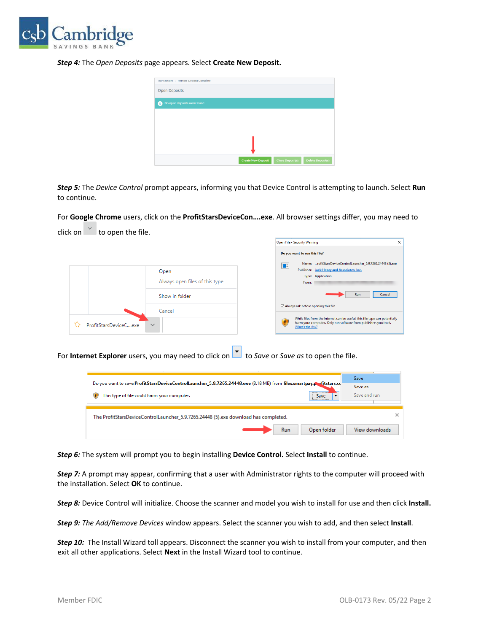

*Step 4:* The *Open Deposits* page appears. Select **Create New Deposit.**

| Transactions / Remote Deposit Complete |                           |                         |                          |
|----------------------------------------|---------------------------|-------------------------|--------------------------|
| <b>Open Deposits</b>                   |                           |                         |                          |
| No open deposits were found<br>0       |                           |                         |                          |
|                                        |                           |                         |                          |
|                                        |                           |                         |                          |
|                                        |                           |                         |                          |
|                                        |                           |                         |                          |
|                                        | <b>Create New Deposit</b> | <b>Close Deposit(s)</b> | <b>Delete Deposit(s)</b> |

*Step 5:* The *Device Control* prompt appears, informing you that Device Control is attempting to launch. Select **Run**  to continue.

For **Google Chrome** users, click on the **ProfitStarsDeviceCon….exe**. All browser settings differ, you may need to

click on  $\overline{\phantom{a}}$  to open the file. Open File - Security Warning  $\overline{\mathsf{x}}$ Do you want to run this file? Name: ...rofitStarsDeviceControlLauncher\_5.9.7265.24448 (3).exe IT Publisher: Jack Henry and Associates, Inc. Open Type: Application Always open files of this type From: Cancel ( Show in folder Run  $\boxdot$  Always ask before opening this file Cancel While files from the Internet can be useful, this file type can potentially<br>harm your computer. Only run software from publishers you trust.<br>What's the risk? Œ <br />
ProfitStarsDeviceC....exe

For **Internet Explorer** users, you may need to click on **the Save** or *Save as* to open the file.

| Do you want to save ProfitStarsDeviceControlLauncher_5.9.7265.24448.exe (8.18 MB) from files.smartpay.positstars.cd<br><br>This type of file could harm your computer.<br><b>Save</b> | Save<br>Save as<br>Save and run |
|---------------------------------------------------------------------------------------------------------------------------------------------------------------------------------------|---------------------------------|
| The ProfitStarsDeviceControlLauncher_5.9.7265.24448 (5).exe download has completed.<br>Run<br>Open folder<br>View downloads                                                           |                                 |

*Step 6:* The system will prompt you to begin installing **Device Control.** Select **Install** to continue.

*Step 7:* A prompt may appear, confirming that a user with Administrator rights to the computer will proceed with the installation. Select **OK** to continue.

*Step 8:* Device Control will initialize. Choose the scanner and model you wish to install for use and then click **Install.**

*Step 9: The Add/Remove Devices* window appears. Select the scanner you wish to add, and then select **Install**.

*Step 10:* The Install Wizard toll appears. Disconnect the scanner you wish to install from your computer, and then exit all other applications. Select **Next** in the Install Wizard tool to continue.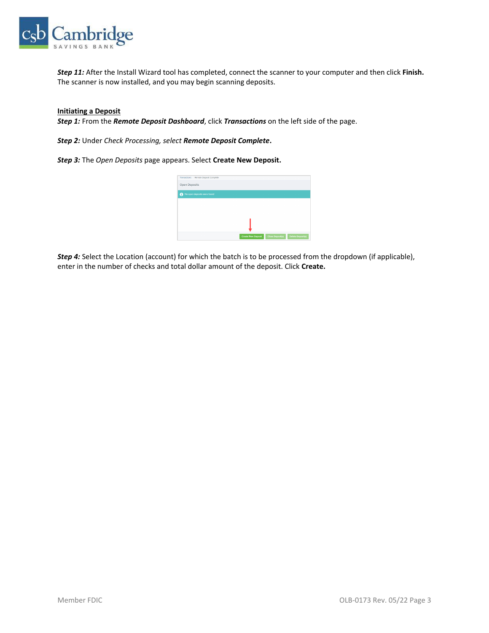

*Step 11:* After the Install Wizard tool has completed, connect the scanner to your computer and then click **Finish.**  The scanner is now installed, and you may begin scanning deposits.

#### **Initiating a Deposit**

*Step 1:* From the *Remote Deposit Dashboard*, click *Transactions* on the left side of the page.

*Step 2:* Under *Check Processing, select Remote Deposit Complete***.**

*Step 3:* The *Open Deposits* page appears. Select **Create New Deposit.**



*Step 4:* Select the Location (account) for which the batch is to be processed from the dropdown (if applicable), enter in the number of checks and total dollar amount of the deposit. Click **Create.**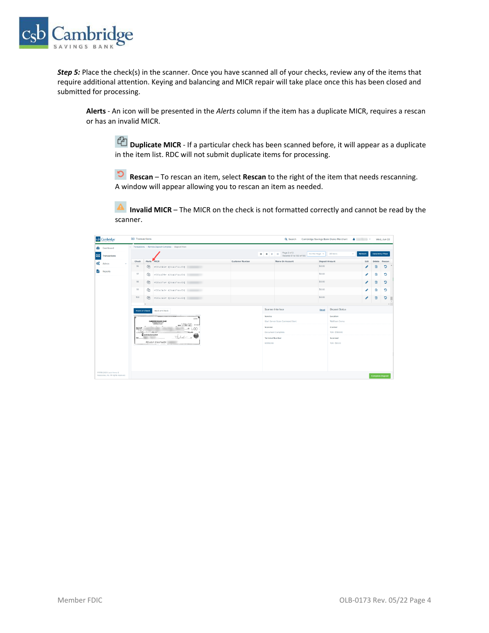

*Step 5:* Place the check(s) in the scanner. Once you have scanned all of your checks, review any of the items that require additional attention. Keying and balancing and MICR repair will take place once this has been closed and submitted for processing.

**Alerts** - An icon will be presented in the *Alerts* column if the item has a duplicate MICR, requires a rescan or has an invalid MICR.

**Duplicate MICR** - If a particular check has been scanned before, it will appear as a duplicate in the item list. RDC will not submit duplicate items for processing.

 **Rescan** – To rescan an item, select **Rescan** to the right of the item that needs rescanning. A window will appear allowing you to rescan an item as needed.

 **Invalid MICR** – The MICR on the check is not formatted correctly and cannot be read by the scanner.

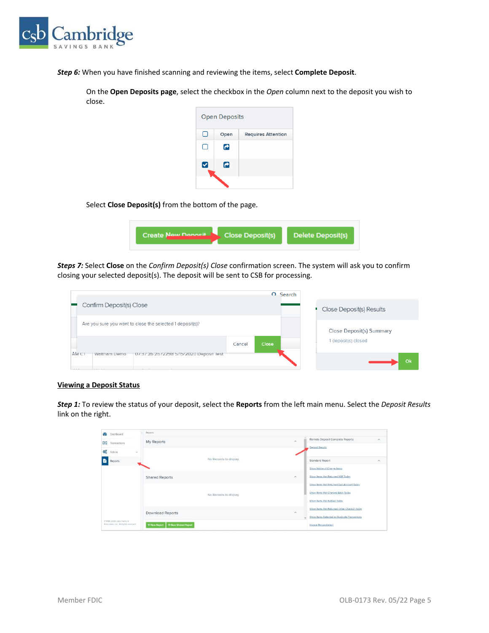

*Step 6:* When you have finished scanning and reviewing the items, select **Complete Deposit**.

On the **Open Deposits page**, select the checkbox in the *Open* column next to the deposit you wish to close.



Select **Close Deposit(s)** from the bottom of the page.

| Create New Denneit Close Deposit(s) | Delete Deposit(s) |
|-------------------------------------|-------------------|
|-------------------------------------|-------------------|

*Steps 7:* Select **Close** on the *Confirm Deposit(s) Close* confirmation screen. The system will ask you to confirm closing your selected deposit(s). The deposit will be sent to CSB for processing.

|                                                                                          |        |              | $\Omega$ Search |                          |
|------------------------------------------------------------------------------------------|--------|--------------|-----------------|--------------------------|
| Confirm Deposit(s) Close                                                                 |        |              |                 | Close Deposit(s) Results |
| Are you sure you want to close the selected 1 deposit(s)?                                |        |              |                 | Close Deposit(s) Summary |
|                                                                                          | Cancel | <b>Close</b> |                 | 1 deposit(s) closed      |
| AM CT<br>Waltham Demo<br>07:37:26.2672298 5/15/2020 Deposit lest<br><b>ALCOHOL:</b><br>. |        |              |                 | Ok                       |

## **Viewing a Deposit Status**

*Step 1:* To review the status of your deposit, select the **Reports** from the left main menu. Select the *Deposit Results*  link on the right.

| GB.<br>Dashboard                      | Reports                             |                    |                                                          |  |
|---------------------------------------|-------------------------------------|--------------------|----------------------------------------------------------|--|
| $\bullet$<br>Transactions             | My Reports                          | $\lambda$          | Remote Deposit Complete Reports<br>$\boldsymbol{\wedge}$ |  |
| Q°<br>Admin<br>÷                      |                                     |                    | Deposit Results                                          |  |
| B.<br>Reports                         | No Records to display.              |                    | Standard Report<br>$\scriptstyle\wedge$                  |  |
|                                       |                                     |                    | Show Notice of Change Items                              |  |
|                                       | <b>Shared Reports</b>               | $\curvearrowright$ | Show Items that Returned NSF Today                       |  |
|                                       |                                     |                    | Show Items that Returned Bad Account Today               |  |
|                                       | No Records to display.              |                    | Show Items that Charged Back Today                       |  |
|                                       |                                     |                    | Show Items that Settled Today                            |  |
|                                       | Download Reports                    | $\wedge$           | Show Items that Returned Other Check21 Today             |  |
| C1998-2020 Jack Henry &               |                                     |                    | Show Items Detected as Duplicate Transactions            |  |
| Associates, Inc. All rights reserved. | + Now Shared Report<br>+ New Report |                    | Invoice Reconciliation                                   |  |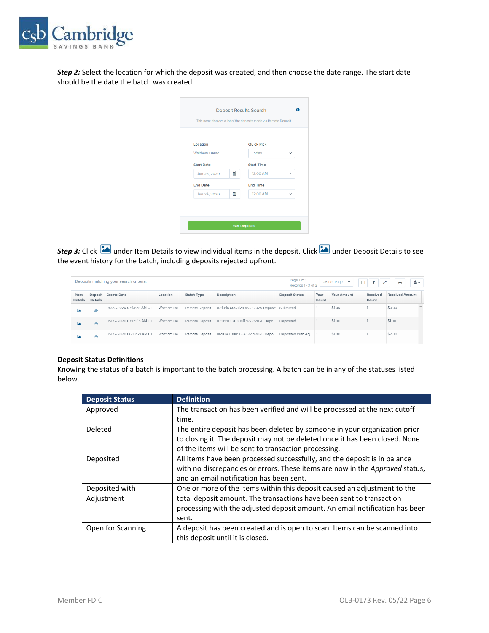

*Step 2:* Select the location for which the deposit was created, and then choose the date range. The start date should be the date the batch was created.

| Location            |   | <b>Quick Pick</b> |              |
|---------------------|---|-------------------|--------------|
| <b>Waltham Demo</b> |   | Today             | $\checkmark$ |
| <b>Start Date</b>   |   | <b>Start Time</b> |              |
| Jun 23, 2020        | 雦 | 12:00 AM          | $\checkmark$ |
| <b>End Date</b>     |   | <b>End Time</b>   |              |
| Jun 24, 2020        | 巤 | 12:00 AM          | $\checkmark$ |

*Step 3:* Click under Item Details to view individual items in the deposit. Click under Deposit Details to see the event history for the batch, including deposits rejected upfront.

|                         |                    | Deposits matching your search criteria: |            |                   |                                                        | Page 1 of 1<br>Records 1 - 3 of 3 |               | 25 Per Page $\vee$ | $\blacksquare$<br>工业之 | ₿                      | 选示 |
|-------------------------|--------------------|-----------------------------------------|------------|-------------------|--------------------------------------------------------|-----------------------------------|---------------|--------------------|-----------------------|------------------------|----|
| Item<br><b>Details</b>  | Deposit<br>Details | <b>Create Date</b>                      | Location   | <b>Batch Type</b> | Description                                            | <b>Deposit Status</b>             | Your<br>Count | Your Amount        | Received<br>Count     | <b>Received Amount</b> |    |
| 囜                       | ₿                  | 05/22/2020 07:13:28 AM CT               | Waltham De | Remote Deposit    | 07:13:15.6093128 5/22/2020 Deposit Submitted           |                                   |               | \$1.00             |                       | \$0.00                 |    |
| $\overline{\mathbf{r}}$ | ₿                  | 05/22/2020 07:09:15 AM CT               | Waltham De | Remote Deposit    | 07:09:03.2030811 5/22/2020 Depo                        | Deposited                         |               | \$1.00             |                       | \$1.00                 |    |
| 囜                       | ₿                  | 05/22/2020 06:10:59 AM CT               | Waltham De | Remote Deposit    | 06:10:47.8085634 5/22/2020 Depo Deposited With Adj   1 |                                   |               | \$1.00             |                       | \$2.00                 |    |

### **Deposit Status Definitions**

Knowing the status of a batch is important to the batch processing. A batch can be in any of the statuses listed below.

| <b>Deposit Status</b> | <b>Definition</b>                                                                   |
|-----------------------|-------------------------------------------------------------------------------------|
| Approved              | The transaction has been verified and will be processed at the next cutoff          |
|                       | time.                                                                               |
| <b>Deleted</b>        | The entire deposit has been deleted by someone in your organization prior           |
|                       | to closing it. The deposit may not be deleted once it has been closed. None         |
|                       | of the items will be sent to transaction processing.                                |
| Deposited             | All items have been processed successfully, and the deposit is in balance           |
|                       | with no discrepancies or errors. These items are now in the <i>Approved</i> status, |
|                       | and an email notification has been sent.                                            |
| Deposited with        | One or more of the items within this deposit caused an adjustment to the            |
| Adjustment            | total deposit amount. The transactions have been sent to transaction                |
|                       | processing with the adjusted deposit amount. An email notification has been         |
|                       | sent.                                                                               |
| Open for Scanning     | A deposit has been created and is open to scan. Items can be scanned into           |
|                       | this deposit until it is closed.                                                    |